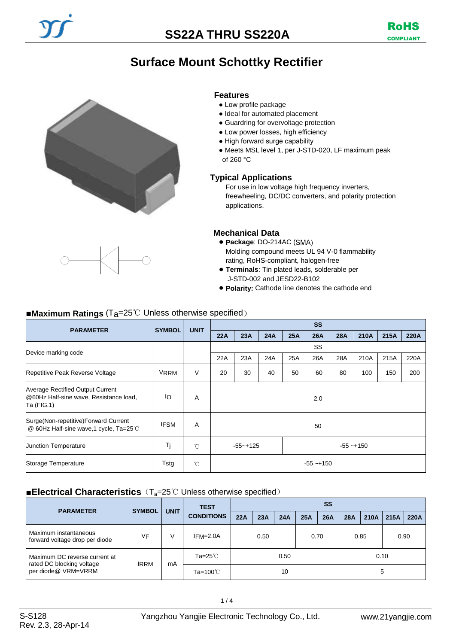# **Surface Mount Schottky Rectifier**





#### **Features**

- Low profile package
- Ideal for automated placement
- Guardring for overvoltage protection
- Low power losses, high efficiency
- High forward surge capability
- Meets MSL level 1, per J-STD-020, LF maximum peak of 260 °C

#### **Typical Applications**

For use in low voltage high frequency inverters, freewheeling, DC/DC converters, and polarity protection applications.

#### **Mechanical Data**

- **Package**: DO-214AC ( Molding compound meets UL 94 V-0 flammability rating, RoHS-compliant, halogen-free
- **Terminals**: Tin plated leads, solderable per J-STD-002 and JESD22-B102
- **Polarity:** Cathode line denotes the cathode end

#### ■**Maximum Ratings** (Ta=25℃ Unless otherwise specified)

| <b>PARAMETER</b>                                                                                | <b>SYMBOL</b> | <b>UNIT</b>  | <b>SS</b>                    |     |     |     |            |            |      |      |      |
|-------------------------------------------------------------------------------------------------|---------------|--------------|------------------------------|-----|-----|-----|------------|------------|------|------|------|
|                                                                                                 |               |              | 22A                          | 23A | 24A | 25A | <b>26A</b> | <b>28A</b> | 210A | 215A | 220A |
| Device marking code                                                                             |               |              |                              | SS  |     |     |            |            |      |      |      |
|                                                                                                 |               |              | 22A                          | 23A | 24A | 25A | 26A        | 28A        | 210A | 215A | 220A |
| Repetitive Peak Reverse Voltage                                                                 | <b>VRRM</b>   | V            | 20                           | 30  | 40  | 50  | 60         | 80         | 100  | 150  | 200  |
| <b>Average Rectified Output Current</b><br>@60Hz Half-sine wave, Resistance load,<br>Ta (FIG.1) | IO            | A            | 2.0                          |     |     |     |            |            |      |      |      |
| Surge (Non-repetitive) Forward Current<br>@ 60Hz Half-sine wave,1 cycle, Ta=25℃                 | <b>IFSM</b>   | A            | 50                           |     |     |     |            |            |      |      |      |
| <b>Junction Temperature</b>                                                                     | Tj            | $^{\circ}$ C | $-55 - +125$<br>$-55 - +150$ |     |     |     |            |            |      |      |      |
| Storage Temperature                                                                             | Tstg          | $^{\circ}$ C | $-55 - +150$                 |     |     |     |            |            |      |      |      |

#### ■**Electrical Characteristics** (T<sub>a</sub>=25℃ Unless otherwise specified)

| <b>PARAMETER</b>                                        | <b>SYMBOL</b> | <b>TEST</b>       |                   | SS   |     |      |     |      |     |      |      |      |
|---------------------------------------------------------|---------------|-------------------|-------------------|------|-----|------|-----|------|-----|------|------|------|
|                                                         |               | <b>UNIT</b>       | <b>CONDITIONS</b> | 22A  | 23A | 24A  | 25A | 26A  | 28A | 210A | 215A | 220A |
| Maximum instantaneous<br>forward voltage drop per diode | VF            |                   | $IFM=2.0A$        | 0.50 |     | 0.70 |     | 0.85 |     | 0.90 |      |      |
| $Ta=25^{\circ}$ C<br>Maximum DC reverse current at      |               | 0.50              |                   |      |     | 0.10 |     |      |     |      |      |      |
| rated DC blocking voltage<br>per diode@ VRM=VRRM        |               | <b>IRRM</b><br>mA | Ta=100℃           | 10   |     |      |     |      |     |      | 5    |      |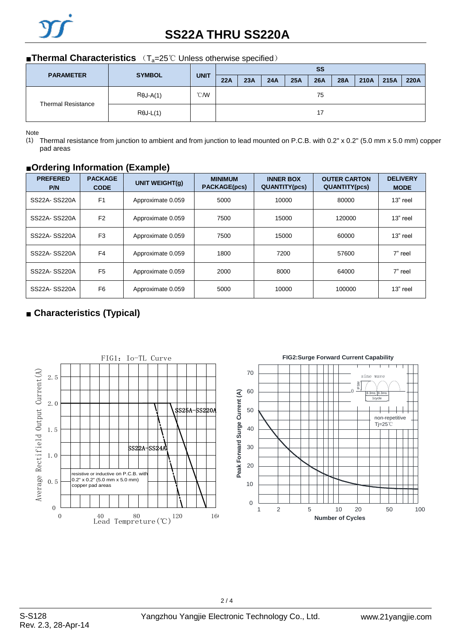

#### ■**Thermal Characteristics** (T<sub>a</sub>=25℃ Unless otherwise specified)

| <b>PARAMETER</b>          | <b>SYMBOL</b>    |                | <b>SS</b> |     |     |     |     |     |      |      |      |
|---------------------------|------------------|----------------|-----------|-----|-----|-----|-----|-----|------|------|------|
|                           |                  | <b>UNIT</b>    | 22A       | 23A | 24A | 25A | 26A | 28A | 210A | 215A | 220A |
| <b>Thermal Resistance</b> | $R\theta J-A(1)$ | $^{\circ}$ CMV | 75        |     |     |     |     |     |      |      |      |
|                           | $R\theta J-L(1)$ |                |           |     |     |     | 17  |     |      |      |      |

Note

(1) Thermal resistance from junction to ambient and from junction to lead mounted on P.C.B. with 0.2" x 0.2" (5.0 mm x 5.0 mm) copper pad areas

### ■**Ordering Information (Example)**

| <b>PREFERED</b><br>P/N | <b>PACKAGE</b><br><b>CODE</b> | <b>UNIT WEIGHT(g)</b> | <b>MINIMUM</b><br><b>PACKAGE(pcs)</b> | <b>INNER BOX</b><br><b>QUANTITY(pcs)</b> | <b>OUTER CARTON</b><br><b>QUANTITY(pcs)</b> | <b>DELIVERY</b><br><b>MODE</b> |
|------------------------|-------------------------------|-----------------------|---------------------------------------|------------------------------------------|---------------------------------------------|--------------------------------|
| SS22A-SS220A           | F <sub>1</sub>                | Approximate 0.059     | 5000                                  | 10000                                    | 80000                                       | 13" reel                       |
| SS22A-SS220A           | F <sub>2</sub>                | Approximate 0.059     | 7500                                  | 15000                                    | 120000                                      | 13" reel                       |
| SS22A-SS220A           | F <sub>3</sub>                | Approximate 0.059     | 7500                                  | 15000                                    | 60000                                       | 13" reel                       |
| SS22A-SS220A           | F <sub>4</sub>                | Approximate 0.059     | 1800                                  | 7200                                     | 57600                                       | 7" reel                        |
| SS22A-SS220A           | F <sub>5</sub>                | Approximate 0.059     | 2000                                  | 8000                                     | 64000                                       | 7" reel                        |
| SS22A-SS220A           | F <sub>6</sub>                | Approximate 0.059     | 5000                                  | 10000                                    | 100000                                      | 13" reel                       |

## ■ **Characteristics (Typical)**



 $2/4$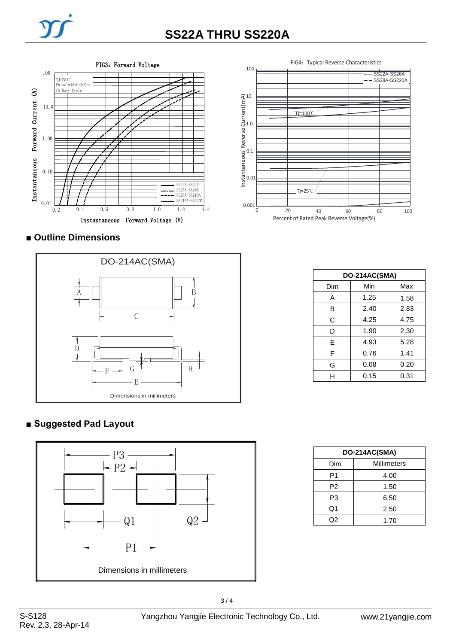



■ Outline Dimensions



| DO-214AC(SMA) |      |      |  |  |  |  |  |
|---------------|------|------|--|--|--|--|--|
| Dim           | Min  | Max  |  |  |  |  |  |
| A             | 1.25 | 1.58 |  |  |  |  |  |
| В             | 2.40 | 2.83 |  |  |  |  |  |
| C             | 4.25 | 4.75 |  |  |  |  |  |
| D             | 1.90 | 2.30 |  |  |  |  |  |
| E             | 4.93 | 5.28 |  |  |  |  |  |
| F             | 0.76 | 1.41 |  |  |  |  |  |
| G             | 0.08 | 0.20 |  |  |  |  |  |
| н             | 0.15 | 0.31 |  |  |  |  |  |

### **■ Suggested Pad Layout**



| DO-214AC(SMA)             |      |  |  |  |  |
|---------------------------|------|--|--|--|--|
| <b>Millimeters</b><br>Dim |      |  |  |  |  |
| P1                        | 4.00 |  |  |  |  |
| P <sub>2</sub>            | 1.50 |  |  |  |  |
| P3                        | 6.50 |  |  |  |  |
| Q1                        | 2.50 |  |  |  |  |
| ი2                        | 1.70 |  |  |  |  |

 $3/4$